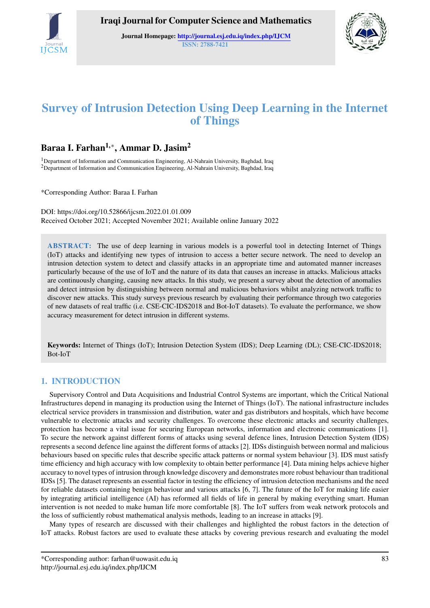

Iraqi Journal for Computer Science and Mathematics

Journal Homepage: <http://journal.esj.edu.iq/index.php/IJCM> ISSN: 2788-7421



# Survey of Intrusion Detection Using Deep Learning in the Internet of Things

## Baraa I. Farhan<sup>1,</sup>\*, Ammar D. Jasim<sup>2</sup>

<sup>1</sup>Department of Information and Communication Engineering, Al-Nahrain University, Baghdad, Iraq <sup>2</sup>Department of Information and Communication Engineering, Al-Nahrain University, Baghdad, Iraq

\*Corresponding Author: Baraa I. Farhan

DOI: https://doi.org/10.52866/ijcsm.2022.01.01.009 Received October 2021; Accepted November 2021; Available online January 2022

ABSTRACT: The use of deep learning in various models is a powerful tool in detecting Internet of Things (IoT) attacks and identifying new types of intrusion to access a better secure network. The need to develop an intrusion detection system to detect and classify attacks in an appropriate time and automated manner increases particularly because of the use of IoT and the nature of its data that causes an increase in attacks. Malicious attacks are continuously changing, causing new attacks. In this study, we present a survey about the detection of anomalies and detect intrusion by distinguishing between normal and malicious behaviors whilst analyzing network traffic to discover new attacks. This study surveys previous research by evaluating their performance through two categories of new datasets of real traffic (i.e. CSE-CIC-IDS2018 and Bot-IoT datasets). To evaluate the performance, we show accuracy measurement for detect intrusion in different systems.

Keywords: Internet of Things (IoT); Intrusion Detection System (IDS); Deep Learning (DL); CSE-CIC-IDS2018; Bot-IoT

## 1. INTRODUCTION

Supervisory Control and Data Acquisitions and Industrial Control Systems are important, which the Critical National Infrastructures depend in managing its production using the Internet of Things (IoT). The national infrastructure includes electrical service providers in transmission and distribution, water and gas distributors and hospitals, which have become vulnerable to electronic attacks and security challenges. To overcome these electronic attacks and security challenges, protection has become a vital issue for securing European networks, information and electronic communications [\[1\]](#page-7-0). To secure the network against different forms of attacks using several defence lines, Intrusion Detection System (IDS) represents a second defence line against the different forms of attacks [\[2\]](#page-7-1). IDSs distinguish between normal and malicious behaviours based on specific rules that describe specific attack patterns or normal system behaviour [\[3\]](#page-7-2). IDS must satisfy time efficiency and high accuracy with low complexity to obtain better performance [\[4\]](#page-7-3). Data mining helps achieve higher accuracy to novel types of intrusion through knowledge discovery and demonstrates more robust behaviour than traditional IDSs [\[5\]](#page-7-4). The dataset represents an essential factor in testing the efficiency of intrusion detection mechanisms and the need for reliable datasets containing benign behaviour and various attacks [\[6,](#page-7-5) [7\]](#page-7-6). The future of the IoT for making life easier by integrating artificial intelligence (AI) has reformed all fields of life in general by making everything smart. Human intervention is not needed to make human life more comfortable [\[8\]](#page-8-0). The IoT suffers from weak network protocols and the loss of sufficiently robust mathematical analysis methods, leading to an increase in attacks [\[9\]](#page-8-1).

Many types of research are discussed with their challenges and highlighted the robust factors in the detection of IoT attacks. Robust factors are used to evaluate these attacks by covering previous research and evaluating the model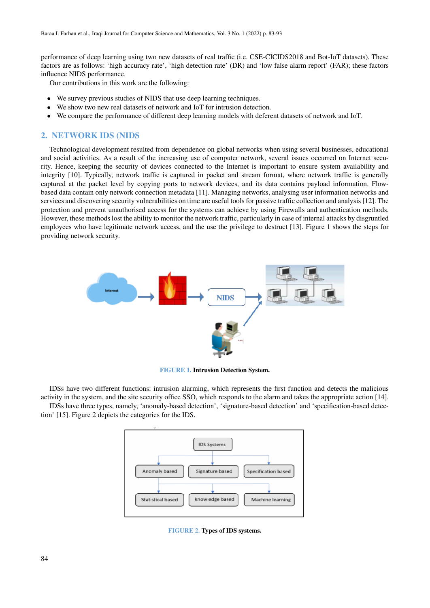performance of deep learning using two new datasets of real traffic (i.e. CSE-CICIDS2018 and Bot-IoT datasets). These factors are as follows: 'high accuracy rate', 'high detection rate' (DR) and 'low false alarm report' (FAR); these factors influence NIDS performance.

Our contributions in this work are the following:

- We survey previous studies of NIDS that use deep learning techniques.
- We show two new real datasets of network and IoT for intrusion detection.
- We compare the performance of different deep learning models with deferent datasets of network and IoT.

### 2. NETWORK IDS (NIDS

Technological development resulted from dependence on global networks when using several businesses, educational and social activities. As a result of the increasing use of computer network, several issues occurred on Internet security. Hence, keeping the security of devices connected to the Internet is important to ensure system availability and integrity [\[10\]](#page-8-2). Typically, network traffic is captured in packet and stream format, where network traffic is generally captured at the packet level by copying ports to network devices, and its data contains payload information. Flowbased data contain only network connection metadata [\[11\]](#page-8-3). Managing networks, analysing user information networks and services and discovering security vulnerabilities on time are useful tools for passive traffic collection and analysis [\[12\]](#page-8-4). The protection and prevent unauthorised access for the systems can achieve by using Firewalls and authentication methods. However, these methods lost the ability to monitor the network traffic, particularly in case of internal attacks by disgruntled employees who have legitimate network access, and the use the privilege to destruct [\[13\]](#page-8-5). Figure 1 shows the steps for providing network security.



FIGURE 1. Intrusion Detection System.

IDSs have two different functions: intrusion alarming, which represents the first function and detects the malicious activity in the system, and the site security office SSO, which responds to the alarm and takes the appropriate action [\[14\]](#page-8-6). IDSs have three types, namely, 'anomaly-based detection', 'signature-based detection' and 'specification-based detection' [\[15\]](#page-8-7). Figure 2 depicts the categories for the IDS.



FIGURE 2. Types of IDS systems.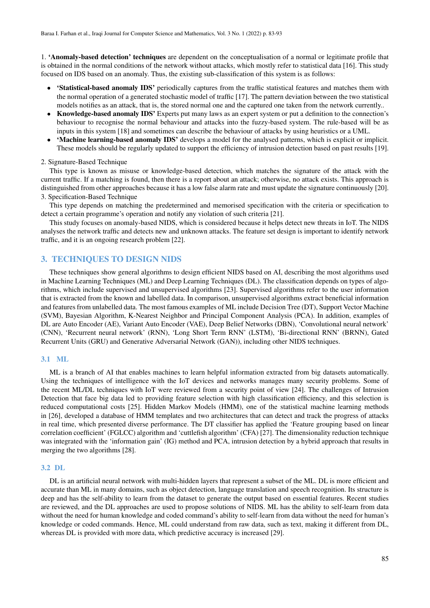1. 'Anomaly-based detection' techniques are dependent on the conceptualisation of a normal or legitimate profile that is obtained in the normal conditions of the network without attacks, which mostly refer to statistical data [\[16\]](#page-8-8). This study focused on IDS based on an anomaly. Thus, the existing sub-classification of this system is as follows:

- 'Statistical-based anomaly IDS' periodically captures from the traffic statistical features and matches them with the normal operation of a generated stochastic model of traffic [\[17\]](#page-8-9). The pattern deviation between the two statistical models notifies as an attack, that is, the stored normal one and the captured one taken from the network currently..
- Knowledge-based anomaly IDS' Experts put many laws as an expert system or put a definition to the connection's behaviour to recognise the normal behaviour and attacks into the fuzzy-based system. The rule-based will be as inputs in this system [\[18\]](#page-8-10) and sometimes can describe the behaviour of attacks by using heuristics or a UML.
- 'Machine learning-based anomaly IDS' develops a model for the analysed patterns, which is explicit or implicit. These models should be regularly updated to support the efficiency of intrusion detection based on past results [\[19\]](#page-8-11).

#### 2. Signature-Based Technique

This type is known as misuse or knowledge-based detection, which matches the signature of the attack with the current traffic. If a matching is found, then there is a report about an attack; otherwise, no attack exists. This approach is distinguished from other approaches because it has a low false alarm rate and must update the signature continuously [\[20\]](#page-8-12). 3. Specification-Based Technique

This type depends on matching the predetermined and memorised specification with the criteria or specification to detect a certain programme's operation and notify any violation of such criteria [\[21\]](#page-8-13).

This study focuses on anomaly-based NIDS, which is considered because it helps detect new threats in IoT. The NIDS analyses the network traffic and detects new and unknown attacks. The feature set design is important to identify network traffic, and it is an ongoing research problem [\[22\]](#page-8-14).

#### 3. TECHNIQUES TO DESIGN NIDS

These techniques show general algorithms to design efficient NIDS based on AI, describing the most algorithms used in Machine Learning Techniques (ML) and Deep Learning Techniques (DL). The classification depends on types of algorithms, which include supervised and unsupervised algorithms [\[23\]](#page-8-15). Supervised algorithms refer to the user information that is extracted from the known and labelled data. In comparison, unsupervised algorithms extract beneficial information and features from unlabelled data. The most famous examples of ML include Decision Tree (DT), Support Vector Machine (SVM), Bayesian Algorithm, K-Nearest Neighbor and Principal Component Analysis (PCA). In addition, examples of DL are Auto Encoder (AE), Variant Auto Encoder (VAE), Deep Belief Networks (DBN), 'Convolutional neural network' (CNN), 'Recurrent neural network' (RNN), 'Long Short Term RNN' (LSTM), 'Bi-directional RNN' (BRNN), Gated Recurrent Units (GRU) and Generative Adversarial Network (GAN)), including other NIDS techniques.

### 3.1 ML

ML is a branch of AI that enables machines to learn helpful information extracted from big datasets automatically. Using the techniques of intelligence with the IoT devices and networks manages many security problems. Some of the recent ML/DL techniques with IoT were reviewed from a security point of view [\[24\]](#page-8-16). The challenges of Intrusion Detection that face big data led to providing feature selection with high classification efficiency, and this selection is reduced computational costs [\[25\]](#page-8-17). Hidden Markov Models (HMM), one of the statistical machine learning methods in [\[26\]](#page-8-18), developed a database of HMM templates and two architectures that can detect and track the progress of attacks in real time, which presented diverse performance. The DT classifier has applied the 'Feature grouping based on linear correlation coefficient' (FGLCC) algorithm and 'cuttlefish algorithm' (CFA) [\[27\]](#page-8-19). The dimensionality reduction technique was integrated with the 'information gain' (IG) method and PCA, intrusion detection by a hybrid approach that results in merging the two algorithms [\[28\]](#page-8-20).

#### 3.2 DL

DL is an artificial neural network with multi-hidden layers that represent a subset of the ML. DL is more efficient and accurate than ML in many domains, such as object detection, language translation and speech recognition. Its structure is deep and has the self-ability to learn from the dataset to generate the output based on essential features. Recent studies are reviewed, and the DL approaches are used to propose solutions of NIDS. ML has the ability to self-learn from data without the need for human knowledge and coded command's ability to self-learn from data without the need for human's knowledge or coded commands. Hence, ML could understand from raw data, such as text, making it different from DL, whereas DL is provided with more data, which predictive accuracy is increased [\[29\]](#page-8-21).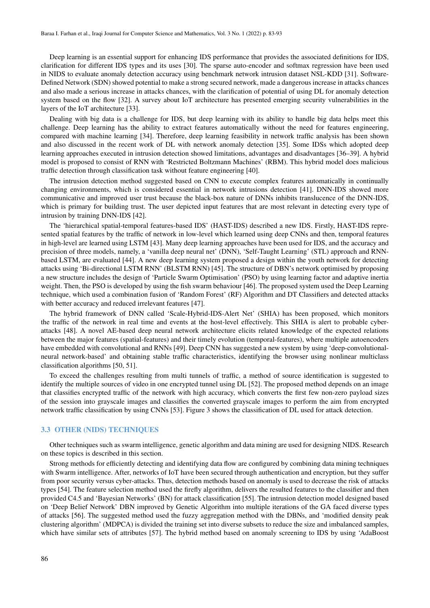Deep learning is an essential support for enhancing IDS performance that provides the associated definitions for IDS, clarification for different IDS types and its uses [\[30\]](#page-8-22). The sparse auto-encoder and softmax regression have been used in NIDS to evaluate anomaly detection accuracy using benchmark network intrusion dataset NSL-KDD [\[31\]](#page-8-23). Software-Defined Network (SDN) showed potential to make a strong secured network, made a dangerous increase in attacks chances and also made a serious increase in attacks chances, with the clarification of potential of using DL for anomaly detection system based on the flow [\[32\]](#page-8-24). A survey about IoT architecture has presented emerging security vulnerabilities in the layers of the IoT architecture [\[33\]](#page-8-25).

Dealing with big data is a challenge for IDS, but deep learning with its ability to handle big data helps meet this challenge. Deep learning has the ability to extract features automatically without the need for features engineering, compared with machine learning [\[34\]](#page-8-26). Therefore, deep learning feasibility in network traffic analysis has been shown and also discussed in the recent work of DL with network anomaly detection [\[35\]](#page-8-27). Some IDSs which adopted deep learning approaches executed in intrusion detection showed limitations, advantages and disadvantages [\[36–](#page-8-28)[39\]](#page-8-29). A hybrid model is proposed to consist of RNN with 'Restricted Boltzmann Machines' (RBM). This hybrid model does malicious traffic detection through classification task without feature engineering [\[40\]](#page-8-30).

The intrusion detection method suggested based on CNN to execute complex features automatically in continually changing environments, which is considered essential in network intrusions detection [\[41\]](#page-8-31). DNN-IDS showed more communicative and improved user trust because the black-box nature of DNNs inhibits translucence of the DNN-IDS, which is primary for building trust. The user depicted input features that are most relevant in detecting every type of intrusion by training DNN-IDS [\[42\]](#page-8-32).

The 'hierarchical spatial-temporal features-based IDS' (HAST-IDS) described a new IDS. Firstly, HAST-IDS represented spatial features by the traffic of network in low-level which learned using deep CNNs and then, temporal features in high-level are learned using LSTM [\[43\]](#page-8-33). Many deep learning approaches have been used for IDS, and the accuracy and precision of three models, namely, a 'vanilla deep neural net' (DNN), 'Self-Taught Learning' (STL) approach and RNNbased LSTM, are evaluated [\[44\]](#page-8-34). A new deep learning system proposed a design within the youth network for detecting attacks using 'Bi-directional LSTM RNN' (BLSTM RNN) [\[45\]](#page-8-35). The structure of DBN's network optimised by proposing a new structure includes the design of 'Particle Swarm Optimisation' (PSO) by using learning factor and adaptive inertia weight. Then, the PSO is developed by using the fish swarm behaviour [\[46\]](#page-8-36). The proposed system used the Deep Learning technique, which used a combination fusion of 'Random Forest' (RF) Algorithm and DT Classifiers and detected attacks with better accuracy and reduced irrelevant features [\[47\]](#page-8-37).

The hybrid framework of DNN called 'Scale-Hybrid-IDS-Alert Net' (SHIA) has been proposed, which monitors the traffic of the network in real time and events at the host-level effectively. This SHIA is alert to probable cyberattacks [\[48\]](#page-8-38). A novel AE-based deep neural network architecture elicits related knowledge of the expected relations between the major features (spatial-features) and their timely evolution (temporal-features), where multiple autoencoders have embedded with convolutional and RNNs [\[49\]](#page-8-39). Deep CNN has suggested a new system by using 'deep-convolutionalneural network-based' and obtaining stable traffic characteristics, identifying the browser using nonlinear multiclass classification algorithms [\[50,](#page-8-40) [51\]](#page-9-0).

To exceed the challenges resulting from multi tunnels of traffic, a method of source identification is suggested to identify the multiple sources of video in one encrypted tunnel using DL [\[52\]](#page-9-1). The proposed method depends on an image that classifies encrypted traffic of the network with high accuracy, which converts the first few non-zero payload sizes of the session into grayscale images and classifies the converted grayscale images to perform the aim from encrypted network traffic classification by using CNNs [\[53\]](#page-9-2). Figure 3 shows the classification of DL used for attack detection.

### 3.3 OTHER (NIDS) TECHNIQUES

Other techniques such as swarm intelligence, genetic algorithm and data mining are used for designing NIDS. Research on these topics is described in this section.

Strong methods for efficiently detecting and identifying data flow are configured by combining data mining techniques with Swarm intelligence. After, networks of IoT have been secured through authentication and encryption, but they suffer from poor security versus cyber-attacks. Thus, detection methods based on anomaly is used to decrease the risk of attacks types [\[54\]](#page-9-3). The feature selection method used the firefly algorithm, delivers the resulted features to the classifier and then provided C4.5 and 'Bayesian Networks' (BN) for attack classification [\[55\]](#page-9-4). The intrusion detection model designed based on 'Deep Belief Network' DBN improved by Genetic Algorithm into multiple iterations of the GA faced diverse types of attacks [\[56\]](#page-9-5). The suggested method used the fuzzy aggregation method with the DBNs, and 'modified density peak clustering algorithm' (MDPCA) is divided the training set into diverse subsets to reduce the size and imbalanced samples, which have similar sets of attributes [\[57\]](#page-9-6). The hybrid method based on anomaly screening to IDS by using 'AdaBoost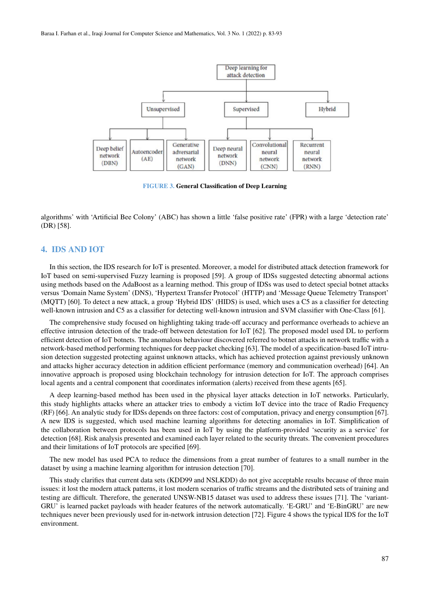

FIGURE 3. General Classification of Deep Learning

algorithms' with 'Artificial Bee Colony' (ABC) has shown a little 'false positive rate' (FPR) with a large 'detection rate' (DR) [\[58\]](#page-9-7).

## 4. IDS AND IOT

In this section, the IDS research for IoT is presented. Moreover, a model for distributed attack detection framework for IoT based on semi-supervised Fuzzy learning is proposed [\[59\]](#page-9-8). A group of IDSs suggested detecting abnormal actions using methods based on the AdaBoost as a learning method. This group of IDSs was used to detect special botnet attacks versus 'Domain Name System' (DNS), 'Hypertext Transfer Protocol' (HTTP) and 'Message Queue Telemetry Transport' (MQTT) [\[60\]](#page-9-9). To detect a new attack, a group 'Hybrid IDS' (HIDS) is used, which uses a C5 as a classifier for detecting well-known intrusion and C5 as a classifier for detecting well-known intrusion and SVM classifier with One-Class [\[61\]](#page-9-10).

The comprehensive study focused on highlighting taking trade-off accuracy and performance overheads to achieve an effective intrusion detection of the trade-off between detestation for IoT [\[62\]](#page-9-11). The proposed model used DL to perform efficient detection of IoT botnets. The anomalous behaviour discovered referred to botnet attacks in network traffic with a network-based method performing techniques for deep packet checking [\[63\]](#page-9-12). The model of a specification-based IoT intrusion detection suggested protecting against unknown attacks, which has achieved protection against previously unknown and attacks higher accuracy detection in addition efficient performance (memory and communication overhead) [\[64\]](#page-9-13). An innovative approach is proposed using blockchain technology for intrusion detection for IoT. The approach comprises local agents and a central component that coordinates information (alerts) received from these agents [\[65\]](#page-9-14).

A deep learning-based method has been used in the physical layer attacks detection in IoT networks. Particularly, this study highlights attacks where an attacker tries to embody a victim IoT device into the trace of Radio Frequency (RF) [\[66\]](#page-9-15). An analytic study for IDSs depends on three factors: cost of computation, privacy and energy consumption [\[67\]](#page-9-16). A new IDS is suggested, which used machine learning algorithms for detecting anomalies in IoT. Simplification of the collaboration between protocols has been used in IoT by using the platform-provided 'security as a service' for detection [\[68\]](#page-9-17). Risk analysis presented and examined each layer related to the security threats. The convenient procedures and their limitations of IoT protocols are specified [\[69\]](#page-9-18).

The new model has used PCA to reduce the dimensions from a great number of features to a small number in the dataset by using a machine learning algorithm for intrusion detection [\[70\]](#page-9-19).

This study clarifies that current data sets (KDD99 and NSLKDD) do not give acceptable results because of three main issues: it lost the modern attack patterns, it lost modern scenarios of traffic streams and the distributed sets of training and testing are difficult. Therefore, the generated UNSW-NB15 dataset was used to address these issues [\[71\]](#page-9-20). The 'variant-GRU' is learned packet payloads with header features of the network automatically. 'E-GRU' and 'E-BinGRU' are new techniques never been previously used for in-network intrusion detection [\[72\]](#page-9-21). Figure 4 shows the typical IDS for the IoT environment.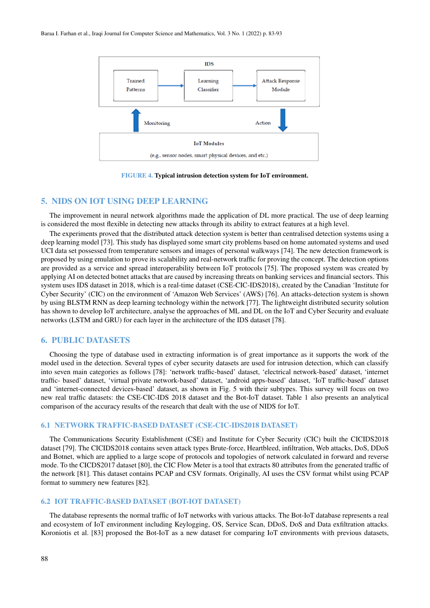

FIGURE 4. Typical intrusion detection system for IoT environment.

## 5. NIDS ON IOT USING DEEP LEARNING

The improvement in neural network algorithms made the application of DL more practical. The use of deep learning is considered the most flexible in detecting new attacks through its ability to extract features at a high level.

The experiments proved that the distributed attack detection system is better than centralised detection systems using a deep learning model [\[73\]](#page-9-22). This study has displayed some smart city problems based on home automated systems and used UCI data set possessed from temperature sensors and images of personal walkways [\[74\]](#page-9-23). The new detection framework is proposed by using emulation to prove its scalability and real-network traffic for proving the concept. The detection options are provided as a service and spread interoperability between IoT protocols [\[75\]](#page-9-24). The proposed system was created by applying AI on detected botnet attacks that are caused by increasing threats on banking services and financial sectors. This system uses IDS dataset in 2018, which is a real-time dataset (CSE-CIC-IDS2018), created by the Canadian 'Institute for Cyber Security' (CIC) on the environment of 'Amazon Web Services' (AWS) [\[76\]](#page-9-25). An attacks-detection system is shown by using BLSTM RNN as deep learning technology within the network [\[77\]](#page-9-26). The lightweight distributed security solution has shown to develop IoT architecture, analyse the approaches of ML and DL on the IoT and Cyber Security and evaluate networks (LSTM and GRU) for each layer in the architecture of the IDS dataset [\[78\]](#page-9-27).

## 6. PUBLIC DATASETS

Choosing the type of database used in extracting information is of great importance as it supports the work of the model used in the detection. Several types of cyber security datasets are used for intrusion detection, which can classify into seven main categories as follows [\[78\]](#page-9-27): 'network traffic-based' dataset, 'electrical network-based' dataset, 'internet traffic- based' dataset, 'virtual private network-based' dataset, 'android apps-based' dataset, 'IoT traffic-based' dataset and 'internet-connected devices-based' dataset, as shown in Fig. 5 with their subtypes. This survey will focus on two new real traffic datasets: the CSE-CIC-IDS 2018 dataset and the Bot-IoT dataset. Table 1 also presents an analytical comparison of the accuracy results of the research that dealt with the use of NIDS for IoT.

#### 6.1 NETWORK TRAFFIC-BASED DATASET (CSE-CIC-IDS2018 DATASET)

The Communications Security Establishment (CSE) and Institute for Cyber Security (CIC) built the CICIDS2018 dataset [\[79\]](#page-9-28). The CICIDS2018 contains seven attack types Brute-force, Heartbleed, infiltration, Web attacks, DoS, DDoS and Botnet, which are applied to a large scope of protocols and topologies of network calculated in forward and reverse mode. To the CICDS2017 dataset [\[80\]](#page-9-29), the CIC Flow Meter is a tool that extracts 80 attributes from the generated traffic of the network [\[81\]](#page-9-30). This dataset contains PCAP and CSV formats. Originally, AI uses the CSV format whilst using PCAP format to summery new features [\[82\]](#page-9-31).

#### 6.2 IOT TRAFFIC-BASED DATASET (BOT-IOT DATASET)

The database represents the normal traffic of IoT networks with various attacks. The Bot-IoT database represents a real and ecosystem of IoT environment including Keylogging, OS, Service Scan, DDoS, DoS and Data exfiltration attacks. Koroniotis et al. [\[83\]](#page-9-32) proposed the Bot-IoT as a new dataset for comparing IoT environments with previous datasets,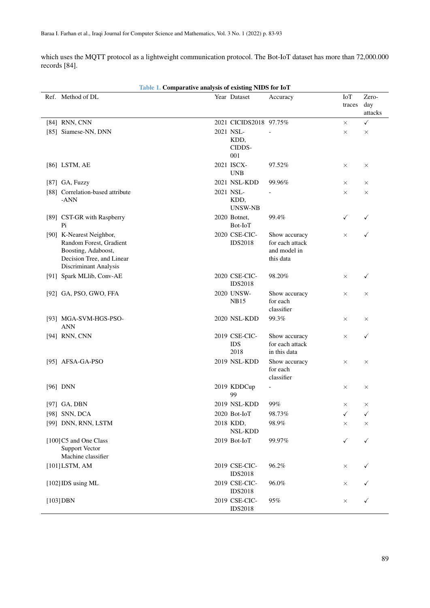which uses the MQTT protocol as a lightweight communication protocol. The Bot-IoT dataset has more than 72,000.000 records [\[84\]](#page-9-33).

| Table 1. Comparative analysis of existing NIDS for IoT                                                                           |  |                                     |                                                               |                      |                         |  |
|----------------------------------------------------------------------------------------------------------------------------------|--|-------------------------------------|---------------------------------------------------------------|----------------------|-------------------------|--|
| Ref. Method of DL                                                                                                                |  | Year Dataset                        | Accuracy                                                      | <b>IoT</b><br>traces | Zero-<br>day<br>attacks |  |
| [84] RNN, CNN                                                                                                                    |  | 2021 CICIDS2018 97.75%              |                                                               | $\times$             | ✓                       |  |
| [85] Siamese-NN, DNN                                                                                                             |  | 2021 NSL-<br>KDD,<br>CIDDS-<br>001  | $\overline{a}$                                                | $\times$             | $\times$                |  |
| [86] LSTM, AE                                                                                                                    |  | 2021 ISCX-<br><b>UNB</b>            | 97.52%                                                        | $\times$             | $\times$                |  |
| [87] GA, Fuzzy                                                                                                                   |  | 2021 NSL-KDD                        | 99.96%                                                        | $\times$             | $\times$                |  |
| [88] Correlation-based attribute<br>-ANN                                                                                         |  | 2021 NSL-<br>KDD,<br>UNSW-NB        |                                                               | $\times$             | $\times$                |  |
| [89] CST-GR with Raspberry<br>Pi                                                                                                 |  | 2020 Botnet,<br>Bot-IoT             | 99.4%                                                         | ✓                    | ✓                       |  |
| [90] K-Nearest Neighbor,<br>Random Forest, Gradient<br>Boosting, Adaboost,<br>Decision Tree, and Linear<br>Discriminant Analysis |  | 2020 CSE-CIC-<br><b>IDS2018</b>     | Show accuracy<br>for each attack<br>and model in<br>this data | $\times$             | ✓                       |  |
| [91] Spark MLlib, Conv-AE                                                                                                        |  | 2020 CSE-CIC-<br><b>IDS2018</b>     | 98.20%                                                        | $\times$             | ✓                       |  |
| [92] GA, PSO, GWO, FFA                                                                                                           |  | 2020 UNSW-<br><b>NB15</b>           | Show accuracy<br>for each<br>classifier                       | $\times$             | $\times$                |  |
| [93] MGA-SVM-HGS-PSO-<br><b>ANN</b>                                                                                              |  | 2020 NSL-KDD                        | 99.3%                                                         | $\times$             | X                       |  |
| [94] RNN, CNN                                                                                                                    |  | 2019 CSE-CIC-<br><b>IDS</b><br>2018 | Show accuracy<br>for each attack<br>in this data              | $\times$             | ✓                       |  |
| [95] AFSA-GA-PSO                                                                                                                 |  | 2019 NSL-KDD                        | Show accuracy<br>for each<br>classifier                       | $\times$             | $\times$                |  |
| $[96]$ DNN                                                                                                                       |  | 2019 KDDCup<br>99                   | ÷,                                                            | $\times$             | X                       |  |
| $[97]$ GA, DBN                                                                                                                   |  | 2019 NSL-KDD                        | 99%                                                           | $\times$             | ×                       |  |
| [98] SNN, DCA                                                                                                                    |  | 2020 Bot-IoT                        | 98.73%                                                        | ✓                    | ✓                       |  |
| [99] DNN, RNN, LSTM                                                                                                              |  | 2018 KDD,<br>NSL-KDD                | 98.9%                                                         | $\times$             | ×                       |  |
| [100] C5 and One Class<br><b>Support Vector</b><br>Machine classifier                                                            |  | 2019 Bot-IoT                        | 99.97%                                                        | ✓                    | ✓                       |  |
| $[101]$ LSTM, AM                                                                                                                 |  | 2019 CSE-CIC-<br><b>IDS2018</b>     | 96.2%                                                         | $\times$             |                         |  |
| [102] IDS using ML                                                                                                               |  | 2019 CSE-CIC-<br><b>IDS2018</b>     | 96.0%                                                         | ×                    |                         |  |
| $[103]$ DBN                                                                                                                      |  | 2019 CSE-CIC-<br><b>IDS2018</b>     | 95%                                                           | $\times$             | ✓                       |  |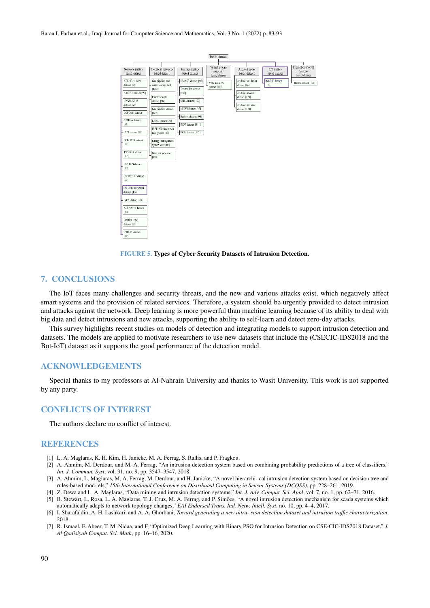#### Baraa I. Farhan et al., Iraqi Journal for Computer Science and Mathematics, Vol. 3 No. 1 (2022) p. 83-93



FIGURE 5. Types of Cyber Security Datasets of Intrusion Detection.

#### 7. CONCLUSIONS

The IoT faces many challenges and security threats, and the new and various attacks exist, which negatively affect smart systems and the provision of related services. Therefore, a system should be urgently provided to detect intrusion and attacks against the network. Deep learning is more powerful than machine learning because of its ability to deal with big data and detect intrusions and new attacks, supporting the ability to self-learn and detect zero-day attacks.

This survey highlights recent studies on models of detection and integrating models to support intrusion detection and datasets. The models are applied to motivate researchers to use new datasets that include the (CSECIC-IDS2018 and the Bot-IoT) dataset as it supports the good performance of the detection model.

#### ACKNOWLEDGEMENTS

Special thanks to my professors at Al-Nahrain University and thanks to Wasit University. This work is not supported by any party.

## CONFLICTS OF INTEREST

The authors declare no conflict of interest.

#### **REFERENCES**

- <span id="page-7-0"></span>[1] L. A. Maglaras, K. H. Kim, H. Janicke, M. A. Ferrag, S. Rallis, and P. Fragkou.
- <span id="page-7-1"></span>[2] A. Ahmim, M. Derdour, and M. A. Ferrag, "An intrusion detection system based on combining probability predictions of a tree of classifiers," *Int. J. Commun. Syst*, vol. 31, no. 9, pp. 3547–3547, 2018.
- <span id="page-7-2"></span>[3] A. Ahmim, L. Maglaras, M. A. Ferrag, M. Derdour, and H. Janicke, "A novel hierarchi- cal intrusion detection system based on decision tree and rules-based mod- els," *15th International Conference on Distributed Computing in Sensor Systems (DCOSS)*, pp. 228–261, 2019.
- <span id="page-7-4"></span><span id="page-7-3"></span>[4] Z. Dewa and L. A. Maglaras, "Data mining and intrusion detection systems," *Int. J. Adv. Comput. Sci. Appl*, vol. 7, no. 1, pp. 62–71, 2016. [5] B. Stewart, L. Rosa, L. A. Maglaras, T. J. Cruz, M. A. Ferrag, and P. Simões, "A novel intrusion detection mechanism for scada systems which
- automatically adapts to network topology changes," *EAI Endorsed Trans. Ind. Netw. Intell. Syst*, no. 10, pp. 4–4, 2017. [6] I. Sharafaldin, A. H. Lashkari, and A. A. Ghorbani, *Toward generating a new intru- sion detection dataset and intrusion traffic characterization*.
- <span id="page-7-5"></span>2018.
- <span id="page-7-6"></span>[7] R. Ismael, F. Abeer, T. M. Nidaa, and F, "Optimized Deep Learning with Binary PSO for Intrusion Detection on CSE-CIC-IDS2018 Dataset," *J. Al Qadisiyah Comput. Sci. Math*, pp. 16–16, 2020.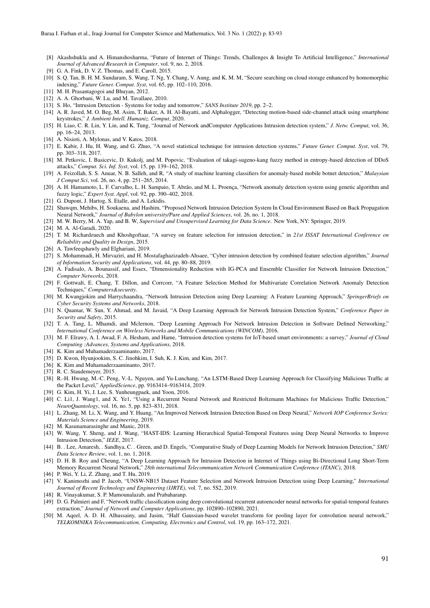- <span id="page-8-0"></span>[8] Akashshukla and A. Himanshosharma, "Future of Internet of Things: Trends, Challenges & Insight To Artificial Intelligence," *International Journal of Advanced Research in Computer*, vol. 9, no. 2, 2018.
- <span id="page-8-1"></span>[9] G. A. Fink, D. V. Z. Thomas, and E. Caroll, 2015.
- <span id="page-8-2"></span>[10] S. Q. Tan, B. H. M. Sundaram, S. Wang, T. Ng, Y. Chang, V. Aung, and K. M. M, "Secure searching on cloud storage enhanced by homomorphic indexing," *Future Gener. Comput. Syst*, vol. 65, pp. 102–110, 2016.
- <span id="page-8-3"></span>[11] M. H. Prasantagogoi and Bhuyan, 2012.
- <span id="page-8-4"></span>[12] A. A. Ghorbani, W. Lu, and M. Tavallaee, 2010.
- <span id="page-8-5"></span>[13] S. Ho, "Intrusion Detection - Systems for today and tomorrow," *SANS Institute 2019*, pp. 2–2.
- <span id="page-8-6"></span>[14] A. R. Javed, M. O. Beg, M. Asim, T. Baker, A. H. Al-Bayatti, and Alphalogger, "Detecting motion-based side-channel attack using smartphone keystrokes," *J. Ambient Intell. Humaniz. Comput*, 2020.
- <span id="page-8-7"></span>[15] H. Liao, C. R. Lin, Y. Lin, and K. Tung, "Journal of Network andComputer Applications Intrusion detection system," *J. Netw. Comput*, vol. 36, pp. 16–24, 2013.
- <span id="page-8-8"></span>[16] A. Nisioti, A. Mylonas, and V. Katos, 2018.
- <span id="page-8-9"></span>[17] E. Kabir, J. Hu, H. Wang, and G. Zhuo, "A novel statistical technique for intrusion detection systems," *Future Gener. Comput. Syst*, vol. 79, pp. 303–318, 2017.
- <span id="page-8-10"></span>[18] M. Petkovic, I. Basicevic, D. Kukolj, and M. Popovic, "Evaluation of takagi-sugeno-kang fuzzy method in entropy-based detection of DDoS attacks," *Comput. Sci. Inf. Syst*, vol. 15, pp. 139–162, 2018.
- <span id="page-8-11"></span>[19] A. Feizollah, S. S. Anuar, N. B. Salleh, and R, "A study of machine learning classifiers for anomaly-based mobile botnet detection," *Malaysian J Comput Sci*, vol. 26, no. 4, pp. 251–265, 2014.
- <span id="page-8-12"></span>[20] A. H. Hamamoto, L. F. Carvalho, L. H. Sampaio, T. Abrão, and M. L. Proença, "Network anomaly detection system using genetic algorithm and fuzzy logic," *Expert Syst. Appl*, vol. 92, pp. 390–402, 2018.
- <span id="page-8-13"></span>[21] G. Dupont, J. Hartog, S. Etalle, and A. Lekidis.
- <span id="page-8-14"></span>[22] Shawqm, Mehibs, H. Soukaena, and Hashim, "Proposed Network Intrusion Detection System In Cloud Environment Based on Back Propagation Neural Network," *Journal of Babylon university/Pure and Applied Sciences*, vol. 26, no. 1, 2018.
- <span id="page-8-15"></span>[23] M. W. Berry, M. A. Yap, and B. W, *Supervised and Unsupervised Learning for Data Science*. New York, NY: Springer, 2019.
- <span id="page-8-16"></span>[24] M. A. Al-Garadi, 2020.
- <span id="page-8-17"></span>[25] T. M. Richardzuech and Khoshgoftaar, "A survey on feature selection for intrusion detection," in *21st ISSAT International Conference on Reliability and Quality in Design*, 2015.
- <span id="page-8-18"></span>[26] A. Tawfeeqshawly and Elghariani, 2019.
- <span id="page-8-19"></span>[27] S. Mohammadi, H. Mirvaziri, and H. Mostafaghazizadeh-Ahsaee, "Cyber intrusion detection by combined feature selection algorithm," *Journal of Information Security and Applications*, vol. 44, pp. 80–88, 2019.
- <span id="page-8-20"></span>[28] A. Fadisalo, A. Bounassif, and Essex, "Dimensionality Reduction with IG-PCA and Ensemble Classifier for Network Intrusion Detection," *Computer Networks*, 2018.
- <span id="page-8-21"></span>[29] F. Gottwalt, E. Chang, T. Dillon, and Corrcorr, "A Feature Selection Method for Multivariate Correlation Network Anomaly Detection Techniques," *Computers&security*.
- <span id="page-8-22"></span>[30] M. Kwangjokim and Harrychaandra, "Network Intrusion Detection using Deep Learning: A Feature Learning Approach," *SpringerBriefs on Cyber Security Systems and Networks*, 2018.
- <span id="page-8-23"></span>[31] N. Quamar, W. Sun, Y. Ahmad, and M. Javaid, "A Deep Learning Approach for Network Intrusion Detection System," *Conference Paper in Security and Safety*, 2015.
- <span id="page-8-24"></span>[32] T. A. Tang, L. Mhamdi, and Mclernon, "Deep Learning Approach For Network Intrusion Detection in Software Defined Networking," *International Conference on Wireless Networks and Mobile Communications (WINCOM)*, 2016.
- <span id="page-8-25"></span>[33] M. F. Elrawy, A. I. Awad, F. A. Hesham, and Hame, "Intrusion detection systems for IoT-based smart environments: a survey," *Journal of Cloud Computing :Advances, Systems and Applications*, 2018.
- <span id="page-8-26"></span>[34] K. Kim and Muhamaderzaaminanto, 2017.
- <span id="page-8-27"></span>[35] D. Kwon, Hyunjookim, S. C. Jinohkim, I. Suh, K. J. Kim, and Kim, 2017.
- <span id="page-8-28"></span>[36] K. Kim and Muhamaderzaaminanto, 2017.
- [37] R. C. Staudemeyer, 2015.
- [38] R.-H. Hwang, M.-C. Peng, V.-L. Nguyen, and Yu-Lunchang, "An LSTM-Based Deep Learning Approach for Classifying Malicious Traffic at the Packet Level," *AppliedScience*, pp. 9163414–9163414, 2019.
- <span id="page-8-29"></span>[39] G. Kim, H. Yi, J. Lee, S. Yunheungpaek, and Yoon, 2016.
- <span id="page-8-30"></span>[40] C. Li1, J. Wang1, and X. Ye1, "Using a Recurrent Neural Network and Restricted Boltzmann Machines for Malicious Traffic Detection," *NeuroQuantology*, vol. 16, no. 5, pp. 823–831, 2018.
- <span id="page-8-31"></span>[41] L. Zhang, M. Li, X. Wang, and Y. Huang, "An Improved Network Intrusion Detection Based on Deep Neural," *Network IOP Conference Series: Materials Science and Engineering*, 2019.
- <span id="page-8-32"></span>[42] M. Kasunamarasinghe and Manic, 2018.
- <span id="page-8-33"></span>[43] W. Wang, Y. Sheng, and J. Wang, "HAST-IDS: Learning Hierarchical Spatial-Temporal Features using Deep Neural Networks to Improve Intrusion Detection," *IEEE*, 2017.
- <span id="page-8-34"></span>[44] B. . Lee, Amaresh, . Sandhya, C. . Green, and D. Engels, "Comparative Study of Deep Learning Models for Network Intrusion Detection," *SMU Data Science Review*, vol. 1, no. 1, 2018.
- <span id="page-8-35"></span>[45] D. H. B. Roy and Cheung, "A Deep Learning Approach for Intrusion Detection in Internet of Things using Bi-Directional Long Short-Term Memory Recurrent Neural Network," *28th international Telecommunication Network Communication Conference (ITANC)*, 2018.
- <span id="page-8-36"></span>[46] P. Wei, Y. Li, Z. Zhang, and T. Hu, 2019.
- <span id="page-8-37"></span>[47] V. Kanimozhi and P. Jacob, "UNSW-NB15 Dataset Feature Selection and Network Intrusion Detection using Deep Learning," *International Journal of Recent Technology and Engineering (IJRTE)*, vol. 7, no. 5S2, 2019.
- <span id="page-8-38"></span>[48] R. Vinayakumar, S. P. Mamounalazab, and Prabaharanp.
- <span id="page-8-39"></span>[49] D. G. Palmieri and F, "Network traffic classification using deep convolutional recurrent autoencoder neural networks for spatial-temporal features extraction," *Journal of Network and Computer Applications*, pp. 102890–102890, 2021.
- <span id="page-8-40"></span>[50] M. Aqeel, A. D. H. Alhussainy, and Jasim, "Half Gaussian-based wavelet transform for pooling layer for convolution neural network," *TELKOMNIKA Telecommunication, Computing, Electronics and Control*, vol. 19, pp. 163–172, 2021.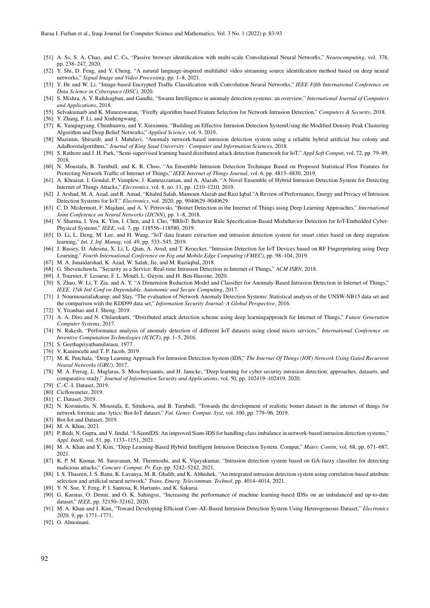- <span id="page-9-0"></span>[51] A. Ss, S. A. Chao, and C. Cs, "Passive browser identification with multi-scale Convolutional Neural Networks," *Neurocomputing*, vol. 378, pp. 238–247, 2020.
- <span id="page-9-1"></span>[52] Y. Shi, D. Feng, and Y. Cheng, "A natural language-inspired multilabel video streaming source identification method based on deep neural networks," *Signal Image and Video Processing*, pp. 1–8, 2021.
- <span id="page-9-2"></span>[53] Y. He and W. Li, "Image-based Encrypted Traffic Classification with Convolution Neural Networks," *IEEE Fifth International Conference on Data Science in Cyberspace (DSC)*, 2020.
- <span id="page-9-3"></span>[54] S. Mishra, A. Y. Rafidsagban, and Gandhi, "Swarm Intelligence in anomaly detection systems: an overview," *International Journal of Computers and Applications*, 2018.
- <span id="page-9-5"></span><span id="page-9-4"></span>[55] Selvakumarb and K. Muneeswaran, "Firefly algorithm based Feature Selection for Network Intrusion Detection," *Computers & Security*, 2018. [56] Y. Zhang, P. Li, and Xinhengwang.
- <span id="page-9-6"></span>[57] K. Yanqingyang, Chunhuawu, and Y. Xinxinniu, "Building an Effective Intrusion Detection SystemUsing the Modified Density Peak Clustering Algorithm and Deep Belief Networks," *Applied Science*, vol. 9, 2019.
- <span id="page-9-7"></span>[58] Mazinim, Shirazib, and I. Mahdavi, "Anomaly network-based intrusion detection system using a reliable hybrid artificial bee colony and AdaBoostalgorithms," *Journal of King Saud University - Computer and Information Sciences*, 2018.
- <span id="page-9-8"></span>[59] S. Rathore and J. H. Park, "Semi-supervised learning based distributed attack detection framework for IoT," *Appl Soft Comput*, vol. 72, pp. 79–89, 2018.
- <span id="page-9-9"></span>[60] N. Moustafa, B. Turnbull, and K. R. Choo, "An Ensemble Intrusion Detection Technique Based on Proposed Statistical Flow Features for Protecting Network Traffic of Internet of Things," *IEEE Internet of Things Journal*, vol. 6, pp. 4815–4830, 2019.
- <span id="page-9-10"></span>[61] A. Khraisat, I. Gondal, P. Vamplew, J. Kamruzzaman, and A. Alazab, "A Novel Ensemble of Hybrid Intrusion Detection System for Detecting Internet of Things Attacks," *Electronics*, vol. 8, no. 11, pp. 1210–1210, 2019.
- <span id="page-9-11"></span>[62] J. Arshad, M. A. Azad, and R. Amad, "Khaled Salah, Mamoun Alazab and Razi Iqbal "A Review of Performance, Energy and Privacy of Intrusion Detection Systems for IoT," *Electronics*, vol. 2020, pp. 9040629–9040629.
- <span id="page-9-12"></span>[63] C. D. Mcdermott, F. Majdani, and A. V. Petrovski, "Botnet Detection in the Internet of Things using Deep Learning Approaches," *International Joint Conference on Neural Networks (IJCNN)*, pp. 1–8, 2018.
- <span id="page-9-13"></span>[64] V. Sharma, I. You, K. Yim, I. Chen, and J. Cho, "BRIoT: Behavior Rule Specification-Based Misbehavior Detection for IoT-Embedded Cyber-Physical Systems," *IEEE*, vol. 7, pp. 118556–118580, 2019.
- <span id="page-9-14"></span>[65] D. Li, L. Deng, M. Lee, and H. Wang, "IoT data feature extraction and intrusion detection system for smart cities based on deep migration learning," *Int. J. Inf. Manag*, vol. 49, pp. 533–545, 2019.
- <span id="page-9-15"></span>[66] J. Bassey, D. Adesina, X. Li, L. Qian, A. Aved, and T. Kroecker, "Intrusion Detection for IoT Devices based on RF Fingerprinting using Deep Learning," *Fourth International Conference on Fog and Mobile Edge Computing (FMEC)*, pp. 98–104, 2019.
- <span id="page-9-16"></span>[67] M. A. Junaidarshad, K. Azad, W. Salah, Jie, and M. Raziiqbal, 2018.
- <span id="page-9-17"></span>[68] G. Shevenchawla, "Security as a Service: Real-time Intrusion Detection in Internet of Things," *ACM ISBN*, 2018.
- <span id="page-9-19"></span><span id="page-9-18"></span>[69] J. Tournier, F. Lesueur, F. L. Mouël, L. Guyon, and H. Ben-Hassine, 2020. [70] S. Zhao, W. Li, T. Zia, and A. Y, "A Dimension Reduction Model and Classifier for Anomaly-Based Intrusion Detection in Internet of Things,"
- *IEEE. 15th Intl Conf on Dependable, Autonomic and Secure Computing*, 2017.
- <span id="page-9-20"></span>[71] J. Nourmoustafa& and Slay, "The evaluation of Network Anomaly Detection Systems: Statistical analysis of the UNSW-NB15 data set and the comparison with the KDD99 data set," *Information Security Journal: A Global Perspective*, 2016.
- <span id="page-9-21"></span>[72] Y. Yiranhao and J. Sheng, 2019.
- <span id="page-9-22"></span>[73] A. A. Diro and N. Chilamkurti, "Distributed attack detection scheme using deep learningapproach for Internet of Things," *Future Generation Computer Systems*, 2017.
- <span id="page-9-23"></span>[74] N. Rakesh, "Performance analysis of anomaly detection of different IoT datasets using cloud micro services," *International Conference on Inventive Computation Technologies (ICICT)*, pp. 1–5, 2016.
- <span id="page-9-24"></span>[75] S. Geethapriyathamilarasu, 1977.
- <span id="page-9-25"></span>[76] V. Kanimozhi and T. P. Jacob, 2019.
- <span id="page-9-26"></span>[77] M. K. Putchala, "Deep Learning Approach For Intrusion Detection System (IDS," *The Internet Of Things (IOT) Network Using Gated Recurrent Neural Networks (GRU)*, 2017.
- <span id="page-9-27"></span>[78] M. A. Ferrag, L. Maglaras, S. Moschoyiannis, and H. Janicke, "Deep learning for cyber security intrusion detection: approaches, datasets, and comparative study," *Journal of Information Security and Applications*, vol. 50, pp. 102419–102419, 2020.
- <span id="page-9-28"></span>[79] C.-C.-I. Dataset, 2019.
- <span id="page-9-29"></span>[80] Cicflowmeter, 2019.
- <span id="page-9-30"></span>[81] C. Dataset, 2019.
- <span id="page-9-31"></span>[82] N. Koroniotis, N. Moustafa, E. Sitnikova, and B. Turnbull, "Towards the development of realistic botnet dataset in the internet of things for network forensic ana- lytics: Bot-IoT dataset," *Fut. Gener. Comput. Syst*, vol. 100, pp. 779–96, 2019.
- <span id="page-9-32"></span>[83] Bot-Iot and Dataset, 2019.
- <span id="page-9-33"></span>[84] M. A. Khan, 2021.
- <span id="page-9-34"></span>[85] P. Bedi, N. Gupta, and V. Jindal, "I-SiamIDS: An improved Siam-IDS for handling class imbalance in network-based intrusion detection systems," *Appl. Intell*, vol. 51, pp. 1133–1151, 2021.
- <span id="page-9-35"></span>[86] M. A. Khan and Y. Kim, "Deep Learning-Based Hybrid Intelligent Intrusion Detection System. Comput," *Mater. Contin*, vol. 68, pp. 671–687, 2021.
- <span id="page-9-36"></span>[87] K. P. M. Kumar, M. Saravanan, M. Thenmozhi, and K. Vijayakumar, "Intrusion detection system based on GA-fuzzy classifier for detecting malicious attacks," *Concurr. Comput, Pr. Exp*, pp. 5242–5242, 2021.
- <span id="page-9-37"></span>[88] I. S. Thaseen, J. S. Banu, K. Lavanya, M. R. Ghalib, and K. Abhishek, "An integrated intrusion detection system using correlation-based attribute selection and artificial neural network," *Trans. Emerg. Telecommun. Technol*, pp. 4014–4014, 2021.
- <span id="page-9-38"></span>[89] Y. N. Soe, Y. Feng, P. I. Santosa, R. Hartanto, and K. Sakurai.
- <span id="page-9-39"></span>[90] G. Karatas, O. Demir, and O. K. Sahingoz, "Increasing the performance of machine learning-based IDSs on an imbalanced and up-to-date dataset," *IEEE*, pp. 32150–32162, 2020.
- <span id="page-9-40"></span>[91] M. A. Khan and J. Kim, "Toward Developing Efficient Conv-AE-Based Intrusion Detection System Using Heterogeneous Dataset," *Electronics 2020, 9*, pp. 1771–1771.
- <span id="page-9-41"></span>[92] O. Almomani.